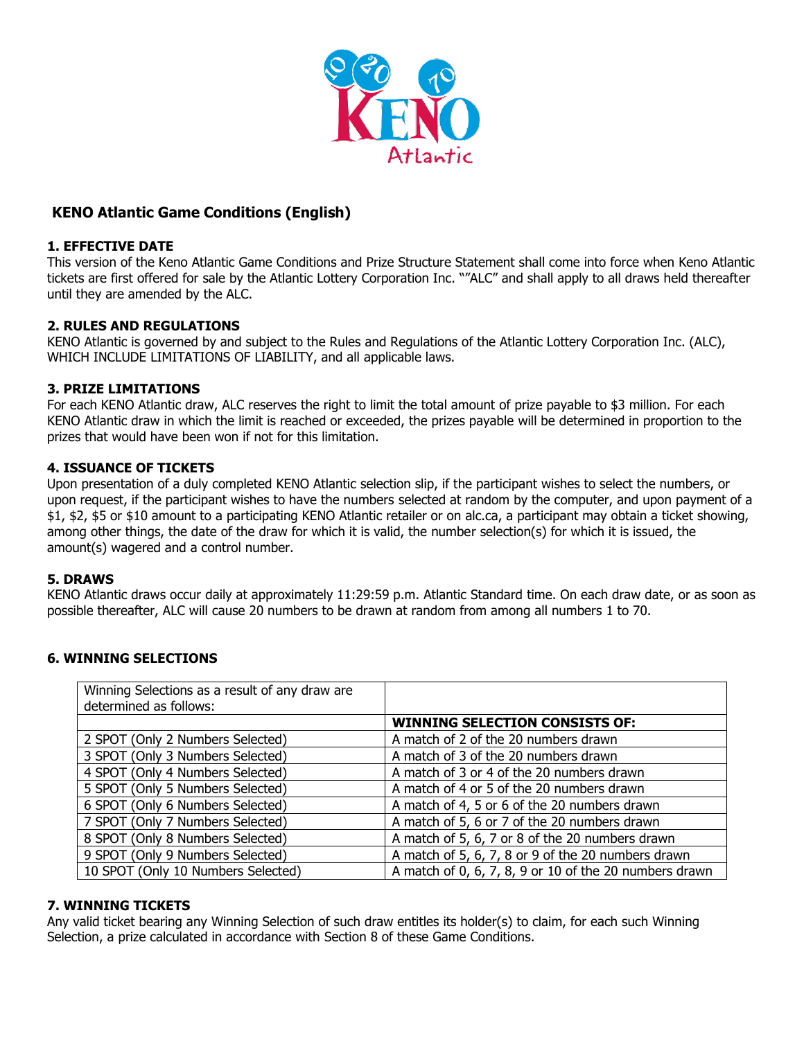

# **KENO Atlantic Game Conditions (English)**

### **1. EFFECTIVE DATE**

This version of the Keno Atlantic Game Conditions and Prize Structure Statement shall come into force when Keno Atlantic tickets are first offered for sale by the Atlantic Lottery Corporation Inc. ""ALC" and shall apply to all draws held thereafter until they are amended by the ALC.

### **2. RULES AND REGULATIONS**

KENO Atlantic is governed by and subject to the Rules and Regulations of the Atlantic Lottery Corporation Inc. (ALC), WHICH INCLUDE LIMITATIONS OF LIABILITY, and all applicable laws.

### **3. PRIZE LIMITATIONS**

For each KENO Atlantic draw, ALC reserves the right to limit the total amount of prize payable to \$3 million. For each KENO Atlantic draw in which the limit is reached or exceeded, the prizes payable will be determined in proportion to the prizes that would have been won if not for this limitation.

#### **4. ISSUANCE OF TICKETS**

Upon presentation of a duly completed KENO Atlantic selection slip, if the participant wishes to select the numbers, or upon request, if the participant wishes to have the numbers selected at random by the computer, and upon payment of a \$1, \$2, \$5 or \$10 amount to a participating KENO Atlantic retailer or on alc.ca, a participant may obtain a ticket showing, among other things, the date of the draw for which it is valid, the number selection(s) for which it is issued, the amount(s) wagered and a control number.

#### **5. DRAWS**

KENO Atlantic draws occur daily at approximately 11:29:59 p.m. Atlantic Standard time. On each draw date, or as soon as possible thereafter, ALC will cause 20 numbers to be drawn at random from among all numbers 1 to 70.

### **6. WINNING SELECTIONS**

| Winning Selections as a result of any draw are |                                                        |  |
|------------------------------------------------|--------------------------------------------------------|--|
| determined as follows:                         |                                                        |  |
|                                                | <b>WINNING SELECTION CONSISTS OF:</b>                  |  |
| 2 SPOT (Only 2 Numbers Selected)               | A match of 2 of the 20 numbers drawn                   |  |
| 3 SPOT (Only 3 Numbers Selected)               | A match of 3 of the 20 numbers drawn                   |  |
| 4 SPOT (Only 4 Numbers Selected)               | A match of 3 or 4 of the 20 numbers drawn              |  |
| 5 SPOT (Only 5 Numbers Selected)               | A match of 4 or 5 of the 20 numbers drawn              |  |
| 6 SPOT (Only 6 Numbers Selected)               | A match of 4, 5 or 6 of the 20 numbers drawn           |  |
| 7 SPOT (Only 7 Numbers Selected)               | A match of 5, 6 or 7 of the 20 numbers drawn           |  |
| 8 SPOT (Only 8 Numbers Selected)               | A match of 5, 6, 7 or 8 of the 20 numbers drawn        |  |
| 9 SPOT (Only 9 Numbers Selected)               | A match of 5, 6, 7, 8 or 9 of the 20 numbers drawn     |  |
| 10 SPOT (Only 10 Numbers Selected)             | A match of 0, 6, 7, 8, 9 or 10 of the 20 numbers drawn |  |

### **7. WINNING TICKETS**

Any valid ticket bearing any Winning Selection of such draw entitles its holder(s) to claim, for each such Winning Selection, a prize calculated in accordance with Section 8 of these Game Conditions.